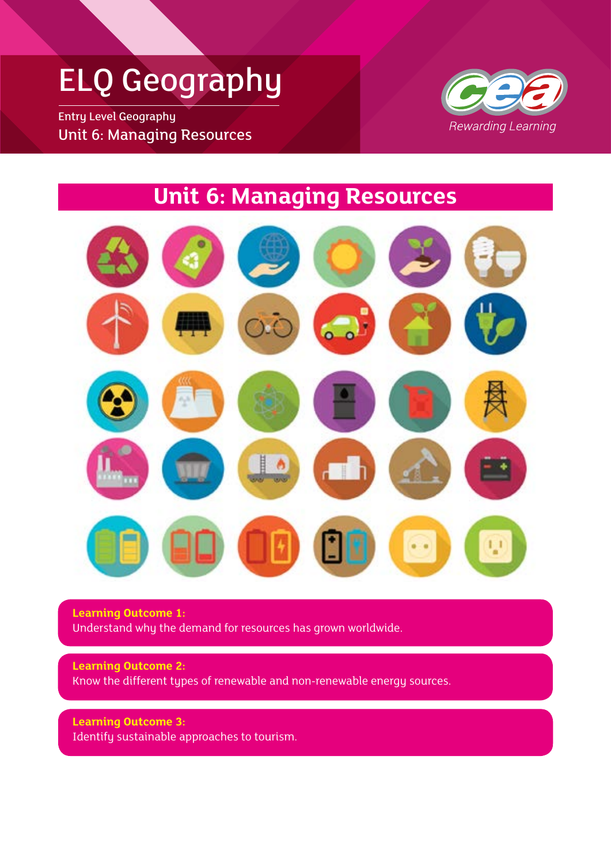## ELQ Geography

Entry Level Geography Unit 6: Managing Resources



### **Unit 6: Managing Resources**



**Learning Outcome 1:** Understand why the demand for resources has grown worldwide.

**Learning Outcome 2:** Know the different types of renewable and non-renewable energy sources.

**Learning Outcome 3:** Identify sustainable approaches to tourism.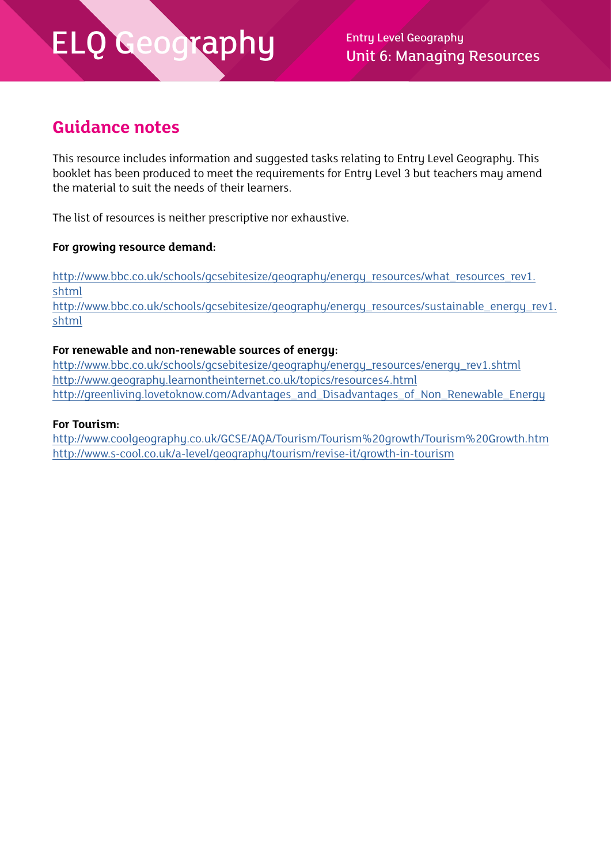Unit 6: Managing Resources

### **Guidance notes**

This resource includes information and suggested tasks relating to Entry Level Geography. This booklet has been produced to meet the requirements for Entry Level 3 but teachers may amend the material to suit the needs of their learners.

The list of resources is neither prescriptive nor exhaustive.

#### **For growing resource demand:**

[http://www.bbc.co.uk/schools/gcsebitesize/geography/energy\\_resources/what\\_resources\\_rev1.](http://www.bbc.co.uk/schools/gcsebitesize/geography/energy_resources/what_resources_rev1.shtml) [shtml](http://www.bbc.co.uk/schools/gcsebitesize/geography/energy_resources/what_resources_rev1.shtml) [http://www.bbc.co.uk/schools/gcsebitesize/geography/energy\\_resources/sustainable\\_energy\\_rev1.](http://www.bbc.co.uk/schools/gcsebitesize/geography/energy_resources/sustainable_energy_rev1.shtml) [shtml](http://www.bbc.co.uk/schools/gcsebitesize/geography/energy_resources/sustainable_energy_rev1.shtml)

#### **For renewable and non-renewable sources of energy:**

http://www.bbc.co.uk/schools/gcsebitesize/geography/energy\_resources/energy\_rev1.shtml http://www.geography.learnontheinternet.co.uk/topics/resources4.html http://greenliving.lovetoknow.com/Advantages\_and\_Disadvantages\_of\_Non\_Renewable\_Energy

#### **For Tourism:**

http://www.coolgeography.co.uk/GCSE/AQA/Tourism/Tourism%20growth/Tourism%20Growth.htm http://www.s-cool.co.uk/a-level/geography/tourism/revise-it/growth-in-tourism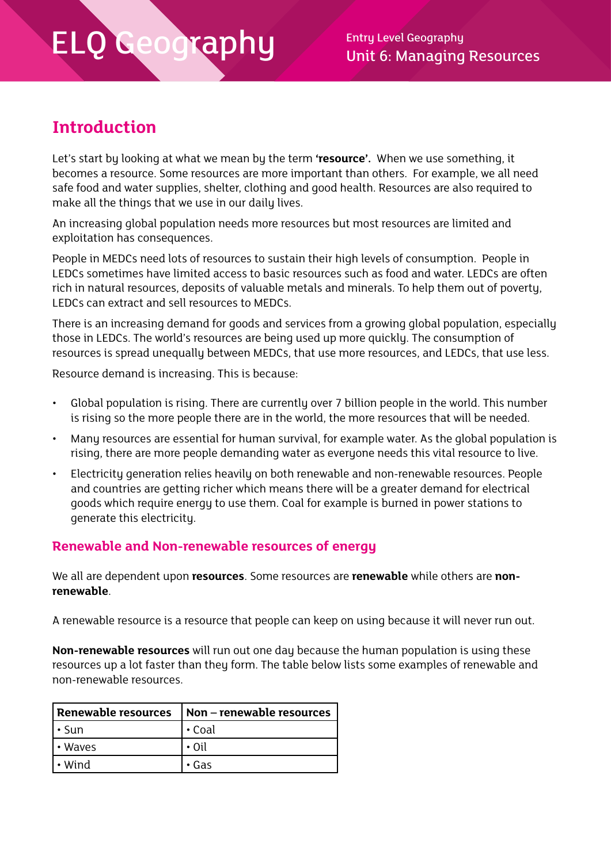### **Introduction**

Let's start by looking at what we mean by the term **'resource'.** When we use something, it becomes a resource. Some resources are more important than others. For example, we all need safe food and water supplies, shelter, clothing and good health. Resources are also required to make all the things that we use in our daily lives.

An increasing global population needs more resources but most resources are limited and exploitation has consequences.

People in MEDCs need lots of resources to sustain their high levels of consumption. People in LEDCs sometimes have limited access to basic resources such as food and water. LEDCs are often rich in natural resources, deposits of valuable metals and minerals. To help them out of poverty, LEDCs can extract and sell resources to MEDCs.

There is an increasing demand for goods and services from a growing global population, especially those in LEDCs. The world's resources are being used up more quickly. The consumption of resources is spread unequally between MEDCs, that use more resources, and LEDCs, that use less.

Resource demand is increasing. This is because:

- Global population is rising. There are currently over 7 billion people in the world. This number is rising so the more people there are in the world, the more resources that will be needed.
- Many resources are essential for human survival, for example water. As the global population is rising, there are more people demanding water as everyone needs this vital resource to live.
- Electricity generation relies heavily on both renewable and non-renewable resources. People and countries are getting richer which means there will be a greater demand for electrical goods which require energy to use them. Coal for example is burned in power stations to generate this electricity.

#### **Renewable and Non-renewable resources of energy**

We all are dependent upon **resources**. Some resources are **renewable** while others are **nonrenewable**.

A renewable resource is a resource that people can keep on using because it will never run out.

**Non-renewable resources** will run out one day because the human population is using these resources up a lot faster than they form. The table below lists some examples of renewable and non-renewable resources.

| Renewable resources | Non - renewable resources |
|---------------------|---------------------------|
| • Sun               | $\cdot$ Coal              |
| <b>l</b> • Waves    | $\cdot$ Oil               |
| l • Wind            | • Gas                     |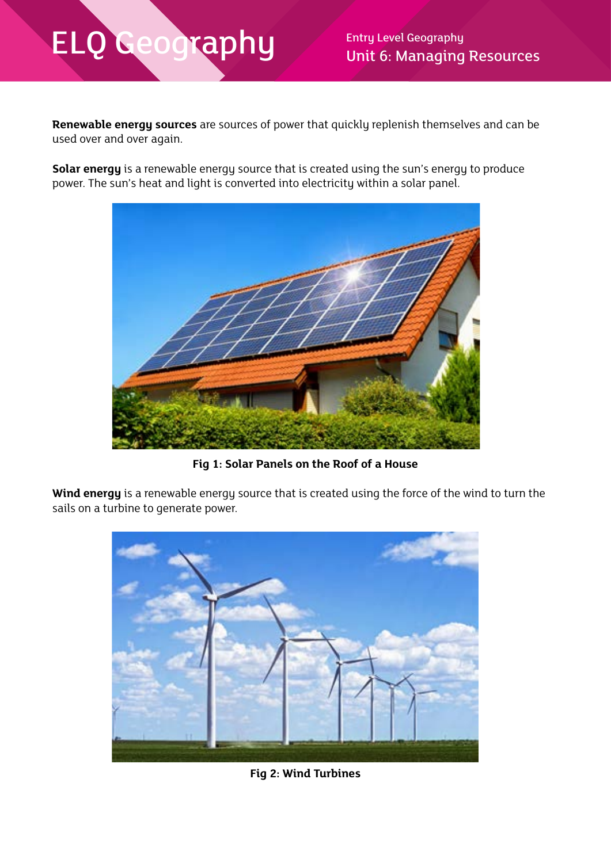Unit 6: Managing Resources

**Renewable energy sources** are sources of power that quickly replenish themselves and can be used over and over again.

**Solar energy** is a renewable energy source that is created using the sun's energy to produce power. The sun's heat and light is converted into electricity within a solar panel.



**Fig 1: Solar Panels on the Roof of a House**

**Wind energy** is a renewable energy source that is created using the force of the wind to turn the sails on a turbine to generate power.



**Fig 2: Wind Turbines**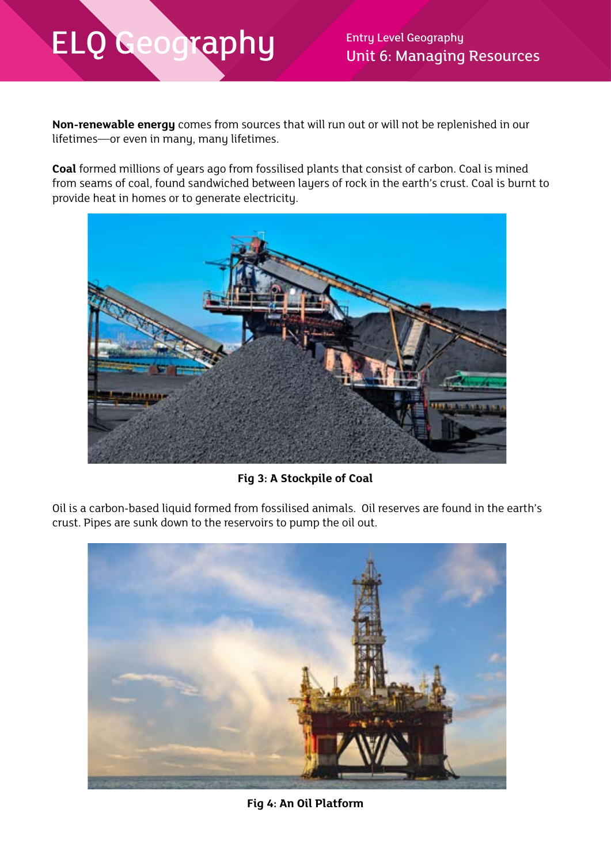Unit 6: Managing Resources

**Non-renewable energy** comes from sources that will run out or will not be replenished in our lifetimes—or even in many, many lifetimes.

**Coal** formed millions of years ago from fossilised plants that consist of carbon. Coal is mined from seams of coal, found sandwiched between layers of rock in the earth's crust. Coal is burnt to provide heat in homes or to generate electricity.



**Fig 3: A Stockpile of Coal**

Oil is a carbon-based liquid formed from fossilised animals. Oil reserves are found in the earth's crust. Pipes are sunk down to the reservoirs to pump the oil out.



**Fig 4: An Oil Platform**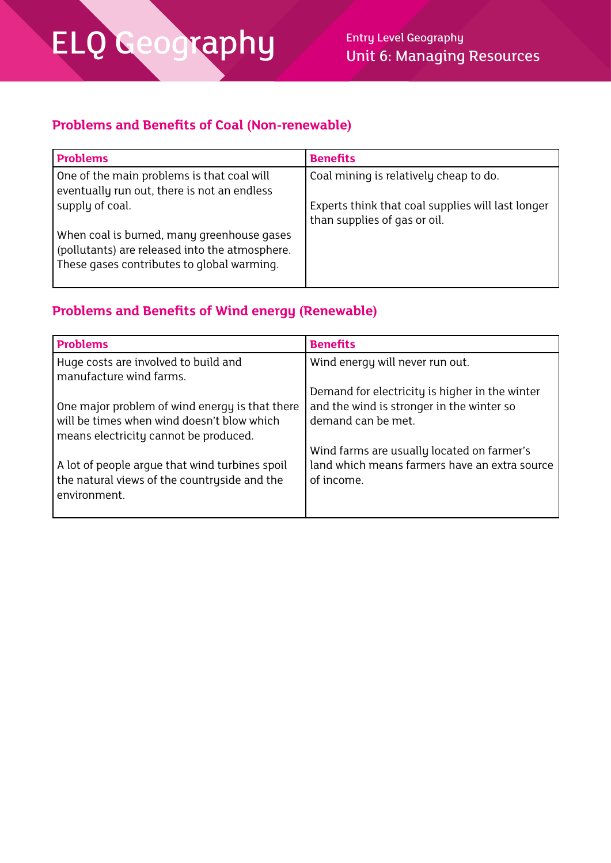### **Problems and Benefits of Coal (Non-renewable)**

| <b>Problems</b>                                                                                                                            | <b>Benefits</b>                                                                   |
|--------------------------------------------------------------------------------------------------------------------------------------------|-----------------------------------------------------------------------------------|
| One of the main problems is that coal will<br>eventually run out, there is not an endless                                                  | Coal mining is relatively cheap to do.                                            |
| supply of coal.                                                                                                                            | Experts think that coal supplies will last longer<br>than supplies of gas or oil. |
| When coal is burned, many greenhouse gases<br>(pollutants) are released into the atmosphere.<br>These gases contributes to global warming. |                                                                                   |

### **Problems and Benefits of Wind energy (Renewable)**

| <b>Problems</b>                                | <b>Benefits</b>                                |
|------------------------------------------------|------------------------------------------------|
| Huge costs are involved to build and           | Wind energy will never run out.                |
| manufacture wind farms.                        |                                                |
|                                                | Demand for electricity is higher in the winter |
| One major problem of wind energy is that there | and the wind is stronger in the winter so      |
| will be times when wind doesn't blow which     | demand can be met.                             |
| means electricity cannot be produced.          |                                                |
|                                                | Wind farms are usually located on farmer's     |
| A lot of people argue that wind turbines spoil | land which means farmers have an extra source  |
| the natural views of the countryside and the   | of income.                                     |
| environment.                                   |                                                |
|                                                |                                                |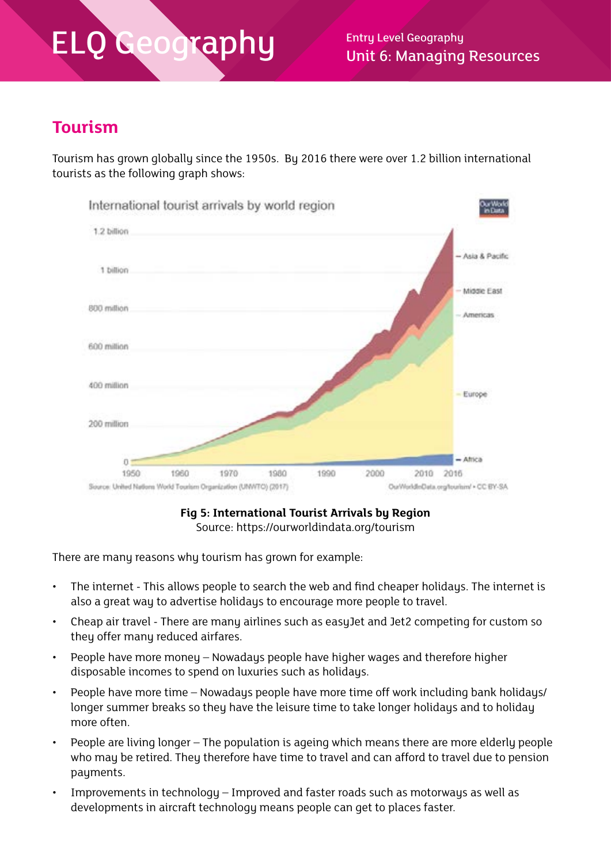$\overline{a}$ phy Entry Level Geography Unit 6: Managing Resources

### **Tourism**

Tourism has grown globally since the 1950s. By 2016 there were over 1.2 billion international tourists as the following graph shows:



**Fig 5: International Tourist Arrivals by Region** Source: https://ourworldindata.org/tourism

There are many reasons why tourism has grown for example:

- The internet This allows people to search the web and find cheaper holidays. The internet is also a great way to advertise holidays to encourage more people to travel.
- Cheap air travel There are many airlines such as easyJet and Jet2 competing for custom so they offer many reduced airfares.
- People have more money Nowadays people have higher wages and therefore higher disposable incomes to spend on luxuries such as holidays.
- People have more time Nowadaus people have more time off work including bank holidaus/ longer summer breaks so they have the leisure time to take longer holidays and to holiday more often.
- People are living longer The population is ageing which means there are more elderly people who may be retired. They therefore have time to travel and can afford to travel due to pension payments.
- Improvements in technology Improved and faster roads such as motorways as well as developments in aircraft technology means people can get to places faster.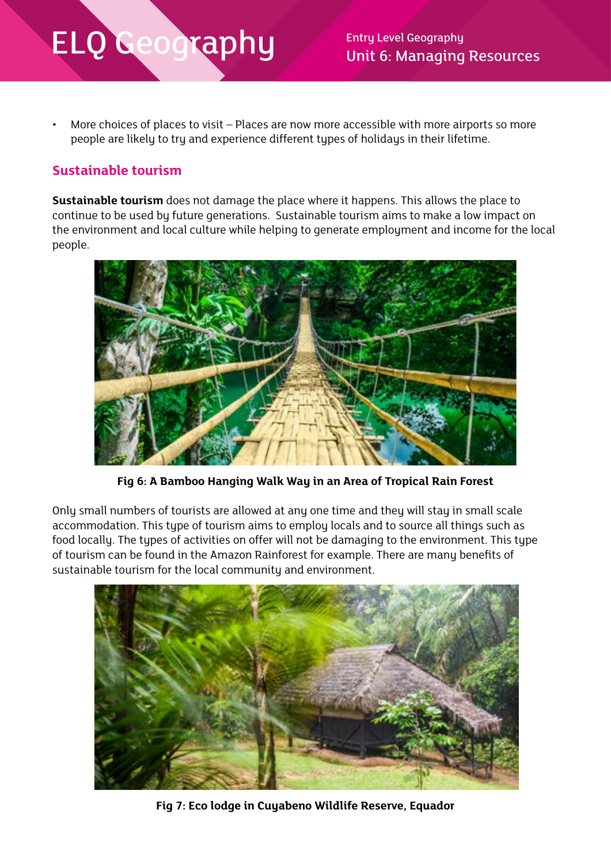Unit 6: Managing Resources

More choices of places to visit – Places are now more accessible with more airports so more people are likely to try and experience different types of holidays in their lifetime.

#### **Sustainable tourism**

**Sustainable tourism** does not damage the place where it happens. This allows the place to continue to be used by future generations. Sustainable tourism aims to make a low impact on the environment and local culture while helping to generate employment and income for the local people.



**Fig 6: A Bamboo Hanging Walk Way in an Area of Tropical Rain Forest**

Only small numbers of tourists are allowed at any one time and they will stay in small scale accommodation. This type of tourism aims to employ locals and to source all things such as food locally. The types of activities on offer will not be damaging to the environment. This type of tourism can be found in the Amazon Rainforest for example. There are many benefits of sustainable tourism for the local community and environment.



**Fig 7: Eco lodge in Cuyabeno Wildlife Reserve, Equador**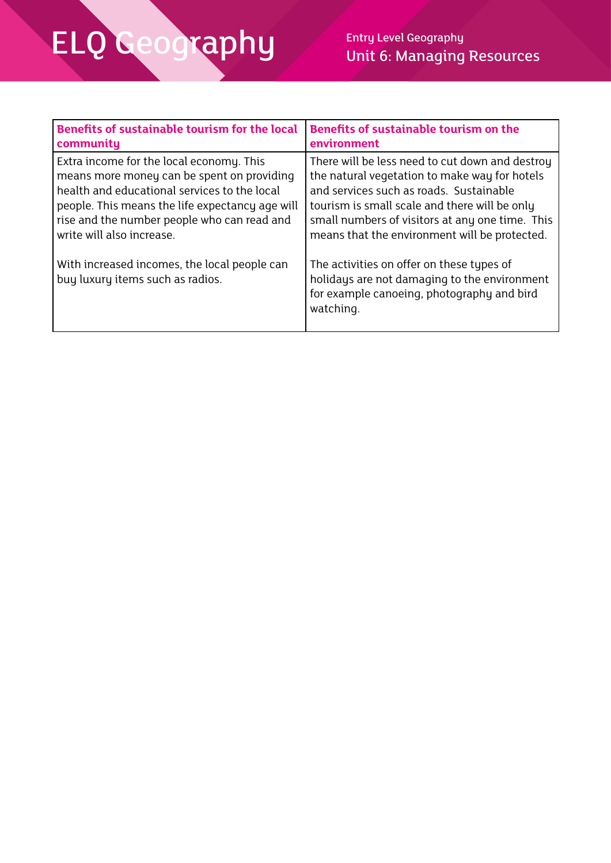| <b>Benefits of sustainable tourism for the local</b>                             | <b>Benefits of sustainable tourism on the</b>                                                                                                        |
|----------------------------------------------------------------------------------|------------------------------------------------------------------------------------------------------------------------------------------------------|
| community                                                                        | environment                                                                                                                                          |
| Extra income for the local economy. This                                         | There will be less need to cut down and destroy                                                                                                      |
| means more money can be spent on providing                                       | the natural vegetation to make way for hotels                                                                                                        |
| health and educational services to the local                                     | and services such as roads. Sustainable                                                                                                              |
| people. This means the life expectancy age will                                  | tourism is small scale and there will be only                                                                                                        |
| rise and the number people who can read and                                      | small numbers of visitors at any one time. This                                                                                                      |
| write will also increase.                                                        | means that the environment will be protected.                                                                                                        |
| With increased incomes, the local people can<br>buy luxury items such as radios. | The activities on offer on these types of<br>holidays are not damaging to the environment<br>for example canoeing, photography and bird<br>watching. |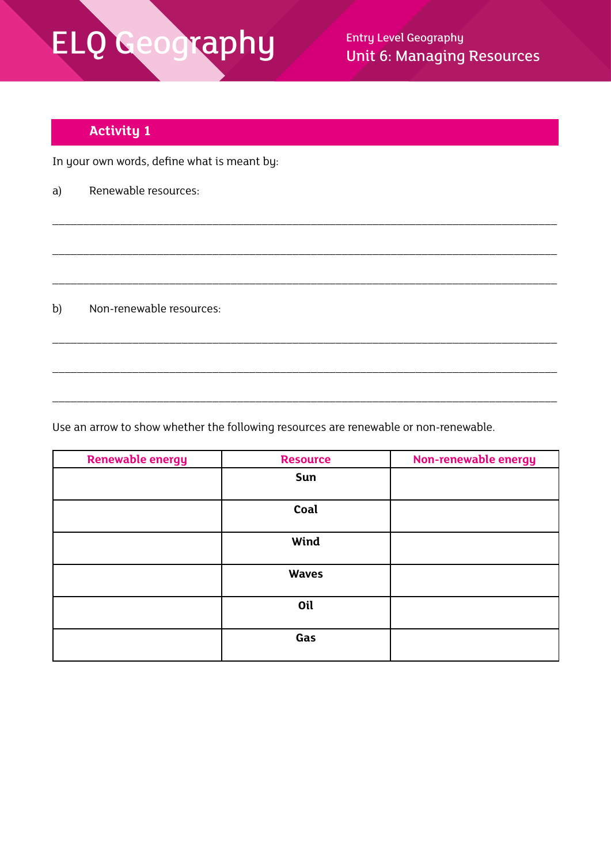Unit 6: Managing Resources

### **Activity 1**

In your own words, define what is meant by:

a) Renewable resources:

b) Non-renewable resources:

Use an arrow to show whether the following resources are renewable or non-renewable.

| <b>Renewable energy</b> | <b>Resource</b> | Non-renewable energy |
|-------------------------|-----------------|----------------------|
|                         | Sun             |                      |
|                         |                 |                      |
|                         | Coal            |                      |
|                         | Wind            |                      |
|                         | <b>Waves</b>    |                      |
|                         | Oil             |                      |
|                         | Gas             |                      |

\_\_\_\_\_\_\_\_\_\_\_\_\_\_\_\_\_\_\_\_\_\_\_\_\_\_\_\_\_\_\_\_\_\_\_\_\_\_\_\_\_\_\_\_\_\_\_\_\_\_\_\_\_\_\_\_\_\_\_\_\_\_\_\_\_\_\_\_\_\_\_\_\_\_\_\_\_\_\_\_\_\_

\_\_\_\_\_\_\_\_\_\_\_\_\_\_\_\_\_\_\_\_\_\_\_\_\_\_\_\_\_\_\_\_\_\_\_\_\_\_\_\_\_\_\_\_\_\_\_\_\_\_\_\_\_\_\_\_\_\_\_\_\_\_\_\_\_\_\_\_\_\_\_\_\_\_\_\_\_\_\_\_\_\_

\_\_\_\_\_\_\_\_\_\_\_\_\_\_\_\_\_\_\_\_\_\_\_\_\_\_\_\_\_\_\_\_\_\_\_\_\_\_\_\_\_\_\_\_\_\_\_\_\_\_\_\_\_\_\_\_\_\_\_\_\_\_\_\_\_\_\_\_\_\_\_\_\_\_\_\_\_\_\_\_\_\_

\_\_\_\_\_\_\_\_\_\_\_\_\_\_\_\_\_\_\_\_\_\_\_\_\_\_\_\_\_\_\_\_\_\_\_\_\_\_\_\_\_\_\_\_\_\_\_\_\_\_\_\_\_\_\_\_\_\_\_\_\_\_\_\_\_\_\_\_\_\_\_\_\_\_\_\_\_\_\_\_\_\_

\_\_\_\_\_\_\_\_\_\_\_\_\_\_\_\_\_\_\_\_\_\_\_\_\_\_\_\_\_\_\_\_\_\_\_\_\_\_\_\_\_\_\_\_\_\_\_\_\_\_\_\_\_\_\_\_\_\_\_\_\_\_\_\_\_\_\_\_\_\_\_\_\_\_\_\_\_\_\_\_\_\_

\_\_\_\_\_\_\_\_\_\_\_\_\_\_\_\_\_\_\_\_\_\_\_\_\_\_\_\_\_\_\_\_\_\_\_\_\_\_\_\_\_\_\_\_\_\_\_\_\_\_\_\_\_\_\_\_\_\_\_\_\_\_\_\_\_\_\_\_\_\_\_\_\_\_\_\_\_\_\_\_\_\_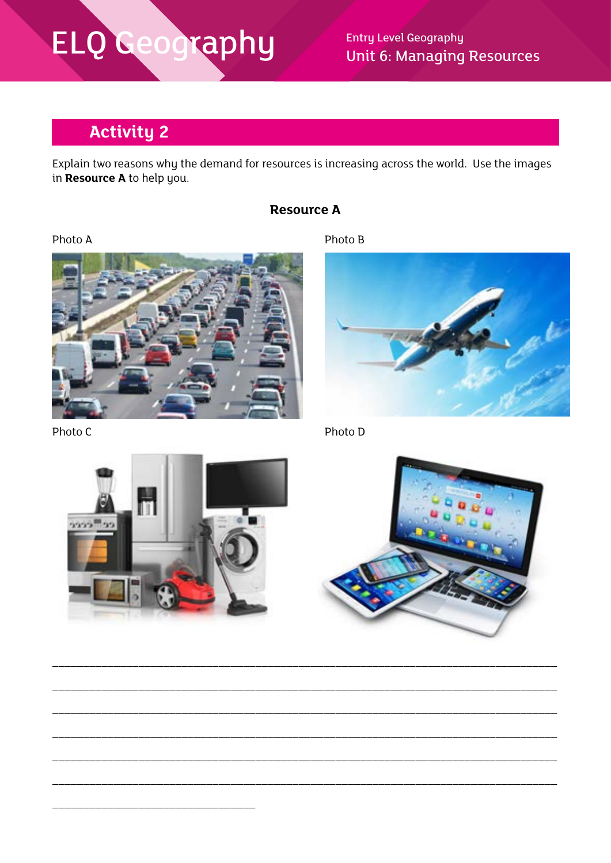# ELQ Geography

**Entry Level Geography Unit 6: Managing Resources** 

### **Activity 2**

Explain two reasons why the demand for resources is increasing across the world. Use the images in Resource A to help you.

#### **Resource A**

Photo A







Photo C





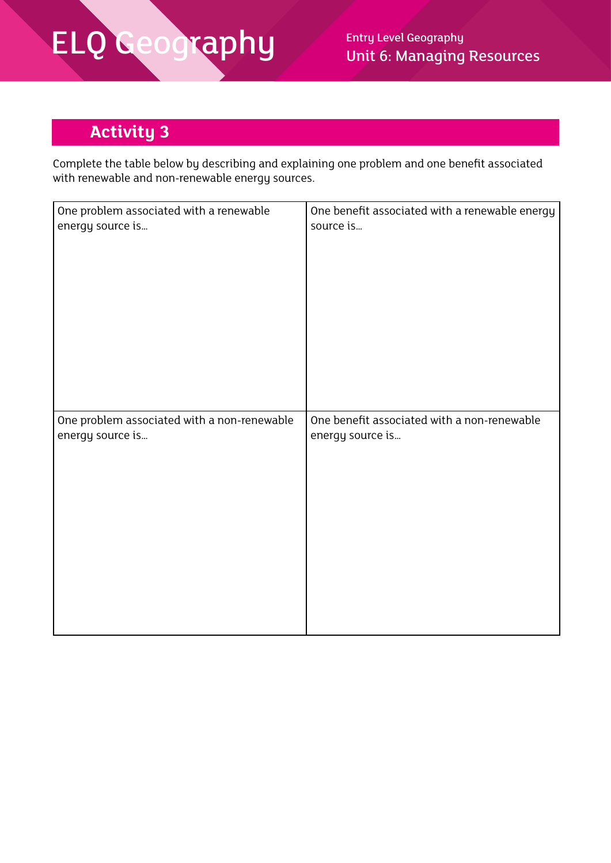### **Activity 3**

Complete the table below by describing and explaining one problem and one benefit associated with renewable and non-renewable energy sources.

| One problem associated with a renewable     | One benefit associated with a renewable energy |
|---------------------------------------------|------------------------------------------------|
| energy source is                            | source is                                      |
| One problem associated with a non-renewable | One benefit associated with a non-renewable    |
| energy source is                            | energy source is                               |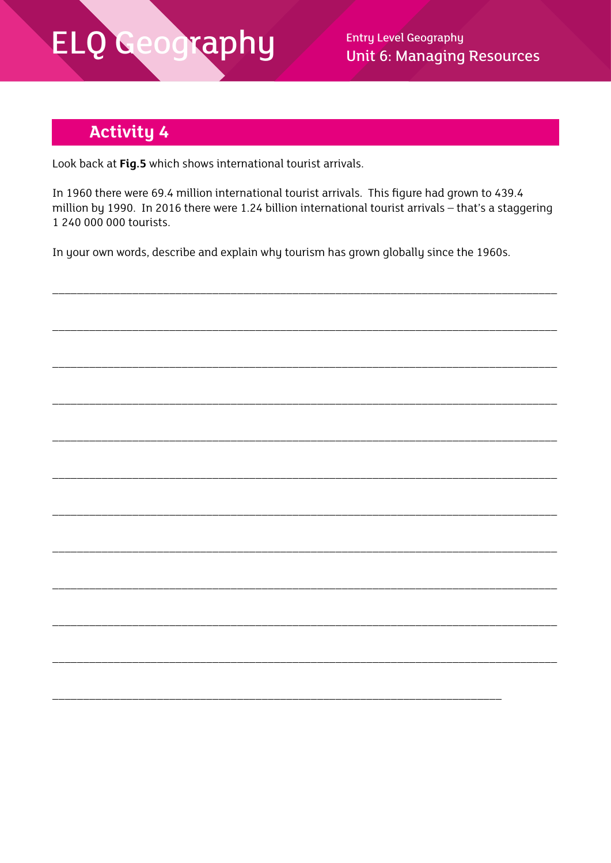### ELQ Geography

**Entry Level Geography Unit 6: Managing Resources** 

### **Activity 4**

Look back at Fig.5 which shows international tourist arrivals.

In 1960 there were 69.4 million international tourist arrivals. This figure had grown to 439.4 million by 1990. In 2016 there were 1.24 billion international tourist arrivals - that's a staggering 1 240 000 000 tourists.

In your own words, describe and explain why tourism has grown globally since the 1960s.